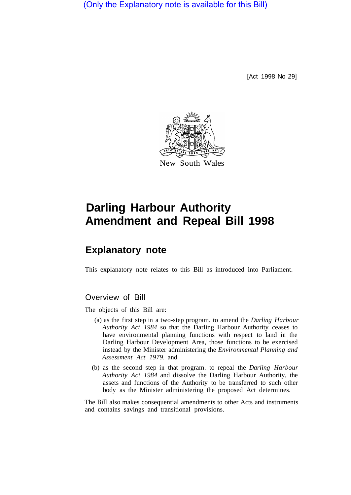(Only the Explanatory note is available for this Bill)

[Act 1998 No 29]



## **Darling Harbour Authority Amendment and Repeal Bill 1998**

## **Explanatory note**

This explanatory note relates to this Bill as introduced into Parliament.

## Overview of Bill

The objects of this Bill are:

- (a) as the first step in a two-step program. to amend the *Darling Harbour Authority Act 1984* so that the Darling Harbour Authority ceases to have environmental planning functions with respect to land in the Darling Harbour Development Area, those functions to be exercised instead by the Minister administering the *Environmental Planning and Assessment Act 1979.* and
- (b) as the second step in that program. to repeal the *Darling Harbour Authority Act 1984* and dissolve the Darling Harbour Authority, the assets and functions of the Authority to be transferred to such other body as the Minister administering the proposed Act determines.

The Bill also makes consequential amendments to other Acts and instruments and contains savings and transitional provisions.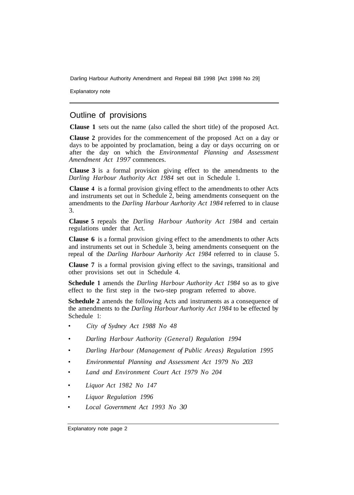Darling Harbour Authority Amendment and Repeal Bill 1998 [Act 1998 No 29]

Explanatory note

## Outline of provisions

**Clause 1** sets out the name (also called the short title) of the proposed Act.

**Clause 2** provides for the commencement of the proposed Act on a day or days to be appointed by proclamation, being a day or days occurring on or after the day on which the *Environmental Planning and Assessment Amendment Act 1997* commences.

**Clause 3** is a formal provision giving effect to the amendments to the *Darling Harbour Authority Act 1984* set out in Schedule 1.

**Clause 4** is a formal provision giving effect to the amendments to other Acts and instruments set out in Schedule 2, being amendments consequent on the amendments to the *Darling Harbour Aurhority Act 1984* referred to in clause 3.

**Clause 5** repeals the *Darling Harbour Authority Act 1984* and certain regulations under that Act.

**Clause 6** is a formal provision giving effect to the amendments to other Acts and instruments set out in Schedule 3, being amendments consequent on the repeal of the *Darling Harbour Aurhority Act 1984* referred to in clause 5.

**Clause 7** is a formal provision giving effect to the savings, transitional and other provisions set out in Schedule 4.

**Schedule 1** amends the *Darling Harbour Authority Act 1984* so as to give effect to the first step in the two-step program referred to above.

**Schedule 2** amends the following Acts and instruments as a consequence of the amendments to the *Darling Harbour Aurhority Act 1984* to be effected by Schedule 1:

- *City of Sydney Act 1988 No 48*
- *Darling Harbour Authority (General) Regulation 1994*
- *Darling Harbour (Management of Public Areas) Regulation 1995*
- *Environmental Planning and Assessment Act 1979 No 203*
- *Land and Environment Court Act 1979 No 204*
- *Liquor Act 1982 No 147*
- *Liquor Regulation 1996*
- *Local Government Act 1993 No 30*